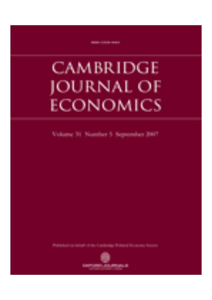# CAMBRIDGE JOURNAL OF ECONOMICS

Volume 31 Number 5 September 2007

of the Combination Professor Records Associate

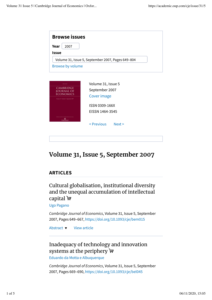| <b>Browse issues</b>                               |                                                   |  |
|----------------------------------------------------|---------------------------------------------------|--|
| Year<br>2007<br><b>Issue</b>                       |                                                   |  |
| <b>Browse by volume</b>                            | Volume 31, Issue 5, September 2007, Pages 649-804 |  |
|                                                    |                                                   |  |
| <b>CAMBRIDGE</b><br>JOURNAL OF<br><b>ECONOMICS</b> | Volume 31, Issue 5<br>September 2007              |  |
| Volume 31 Number 5 September 2007                  | Cover image                                       |  |

ISSN 0309-166X EISSN 1464-3545 < Previous Next >

## **Volume 31, Issue 5, September 2007**

## **ARTICLES**

Cultural globalisation, institutional diversity and the unequal accumulation of intellectual capital न

Ugo Pagano

*Cambridge Journal of Economics*, Volume 31, Issue 5, September 2007, Pages 649–667, https://doi.org/10.1093/cje/bem015

View article Abstract  $\blacktriangledown$ 

## Inadequacy of technology and innovation systems at the periphery  $\bigtriangledown$

Eduardo da Motta e Albuquerque

*Cambridge Journal of Economics*, Volume 31, Issue 5, September 2007, Pages 669–690, https://doi.org/10.1093/cje/bel045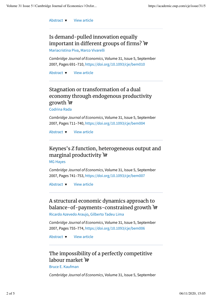Abstract v View article

## Is demand-pulled innovation equally important in different groups of firms?  $\bigtriangledown$

Mariacristina Piva, Marco Vivarelli

*Cambridge Journal of Economics*, Volume 31, Issue 5, September 2007, Pages 691–710, https://doi.org/10.1093/cje/bem010

View article Abstract  $\blacktriangledown$ 

## Stagnation or transformation of a dual economy through endogenous productivity growth  $H$

Codrina Rada

*Cambridge Journal of Economics*, Volume 31, Issue 5, September 2007, Pages 711–740, https://doi.org/10.1093/cje/bem004

View article Abstract  $\blacktriangledown$ 

## Keynes's *Z* function, heterogeneous output and marginal productivity  $\bigtriangledown$

MG Hayes

*Cambridge Journal of Economics*, Volume 31, Issue 5, September 2007, Pages 741–753, https://doi.org/10.1093/cje/bem007

View article Abstract  $\blacktriangledown$ 

## A structural economic dynamics approach to balance-of-payments-constrained growth **ज़ि**

Ricardo Azevedo Araujo, Gilberto Tadeu Lima

*Cambridge Journal of Economics*, Volume 31, Issue 5, September 2007, Pages 755–774, https://doi.org/10.1093/cje/bem006

View article Abstract  $\blacktriangledown$ 

## The impossibility of a perfectly competitive labour market  $\mathbf{F}$

Bruce E. Kaufman

*Cambridge Journal of Economics*, Volume 31, Issue 5, September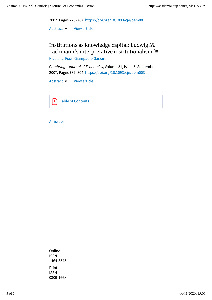

View article Abstract  $\blacktriangledown$ 

Institutions as knowledge capital: Ludwig M. Lachmann's interpretative institutionalism न

Nicolai J. Foss, Giampaolo Garzarelli

*Cambridge Journal of Economics*, Volume 31, Issue 5, September 2007, Pages 789–804, https://doi.org/10.1093/cje/bem003

View article Abstract  $\blacktriangledown$ 

Table of Contents  $\blacktriangleright$ 

All issues

Online ISSN 1464-3545 Print ISSN 0309-166X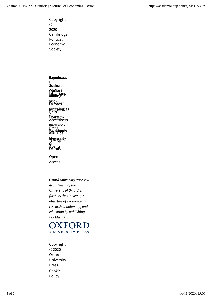Copyright © 2020 Cambridge Political Economy Society

## **Riophuerete**s

Us<br>**Sloid**mpors

O.chtmlact Librarians<br>**Naideg**iic

**Sisc**ieties<br>Oxfoeds

**DictFiblogg**ies<br>Help , .<br>Epyligteer<br>Addeestsi **Epigteum**<br>Adv**ess**isers

& Purchase **Rac**ebook YouTube Press & BALLE **Priord deside** 

*<u>Miggibrica</u>* **Migibita**rsity<br>Tumblr<br>&f Agents<br>**Paroris**sions 6,f

Open Access

*Oxford University Press is a department of the University of Oxford. It furthers the University's objective of excellence in research, scholarship, and education by publishing worldwide*



Copyright © 2020 Oxford University Press Cookie Policy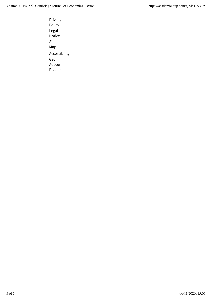Privacy Policy Legal Notice Site Map Accessibility Get Adobe Reader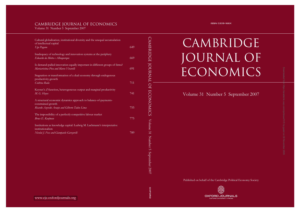## Cambridge Journal of Economics

Volume 31 Number 5 September 2007

| Cultural globalisation, institutional diversity and the unequal accumulation<br>of intellectual capital               |     |
|-----------------------------------------------------------------------------------------------------------------------|-----|
| Ugo Pagano                                                                                                            | 649 |
| Inadequacy of technology and innovation systems at the periphery<br>Eduardo da Motta e Albuquerque                    | 669 |
| Is demand-pulled innovation equally important in different groups of firms?<br>Mariacristina Piva and Marco Vivarelli | 691 |
| Stagnation or transformation of a dual economy through endogenous<br>productivity growth<br>Codrina Rada              | 711 |
| Keynes's Z function, heterogeneous output and marginal productivity<br>M. G. Hayes                                    | 741 |
| A structural economic dynamics approach to balance-of-payments-<br>constrained growth                                 |     |
| Ricardo Azevedo Araujo and Gilberto Tadeu Lima                                                                        | 755 |
| The impossibility of a perfectly competitive labour market<br>Bruce E. Kaufman                                        | 775 |
| Institutions as knowledge capital: Ludwig M. Lachmann's interpretative<br>institutionalism                            |     |
| Nicolai J. Foss and Giampaolo Garzarelli                                                                              | 789 |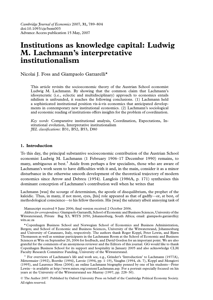Cambridge Journal of Economics 2007, 31, 789–804 doi:10.1093/cje/bem003 Advance Access publication 15 May, 2007

## Institutions as knowledge capital: Ludwig M. Lachmann's interpretative institutionalism

Nicolai J. Foss and Giampaolo Garzarelli\*

This article revisits the socioeconomic theory of the Austrian School economist Ludwig M. Lachmann. By showing that the common claim that Lachmann's idiosyncratic (i.e., eclectic and multidisciplinary) approach to economics entails nihilism is unfounded, it reaches the following conclusions. (1) Lachmann held a sophisticated institutional position vis-a`-vis economics that anticipated developments in contemporary new institutional economics. (2) Lachmann's sociological and economic reading of institutions offers insights for the problem of coordination.

Key words: Comparative institutional analysis, Coordination, Expectations, Institutional evolution, Interpretative institutionalism JEL classifications: B31, B52, B53, D80

#### 1. Introduction

To this day, the principal substantive socioeconomic contribution of the Austrian School economist Ludwig M. Lachmann (1 February 1906–17 December 1990) remains, to many, ambiguous at best.<sup>1</sup> Aside from perhaps a few specialists, those who are aware of Lachmann's work seem to have difficulties with it and, in the main, consider it as a minor disturbance in the otherwise smooth development of the theoretical trajectory of modern economics since Arrow and Debreu (1954). Langlois (1986A, p. 171) synthesises this dominant conception of Lachmann's contribution well when he writes that

Lachmann [was] the scourge of determinism, the apostle of disequilibrium, the prophet of the kaleidic. Thus, in many, if not most, eyes, [his] role appeared as that of gadfly—or, at best, of methodological conscience—to his fellow theorists. His [was] the salutary albeit annoying task of

Manuscript received 9 June 2006; final version received 2 October 2006.

Address for correspondence: Giampaolo Garzarelli, School of Economic and Business Sciences, University of the Witwatersrand, Private Bag X3, WITS 2050, Johannesburg, South Africa; email: giampaolo.garzarelli@ wits.ac.za

\* Copenhagen Business School and Norwegian School of Economics and Business Administration, Bergen; and School of Economic and Business Sciences, University of the Witwatersrand, Johannesburg and University of Catanzaro, Italy, respectively. The authors thank Roger Koppl, Peter Lewin, and Bjørn Thomassen as well as seminar participants in the Lachmann Room at the School of Economic and Business Sciences at Wits on September 20, 2006 for feedback, and David Gordon for an important point. We are also grateful for the comments of an anonymous reviewer and the Editors of this journal. GG would like to thank Copenhagen Business School for its support and hospitality in January 2005 and also acknowledge CLM Faculty Research Committee Funding, University of the Witwatersrand.

<sup>1</sup> For overviews of Lachmann's life and work see, e.g., Grinder's 'Introduction' to Lachmann (1977A), Mittermaier (1992), Boettke (1994), Lavoie (1994, pp. 1–19), Vaughn (1994, ch. 7), Koppl and Mongiovi (1995), and Laurence Moss (2004); an online Lachmann biography penned by one of his students—Peter Lewin—is available at [http://www.mises.org/content/Lachmann.asp.](http://www.mises.org/content/Lachmann.asp) For a portrait especially focused on his years at the University of the Witwatersrand see Murray (1997, pp. 228–30).

 The Author 2007. Published by Oxford University Press on behalf of the Cambridge Political Economy Society. All rights reserved.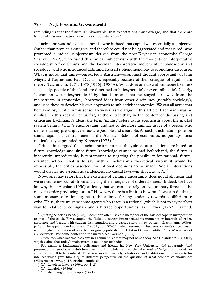reminding us that the future is unknowable, that expectations must diverge, and that there are forces of discoordination as well as of coordination.

Lachmann was indeed an economist who insisted that capital was essentially a subjective (rather than physical) category and therefore could not be aggregated and measured; who promoted a radical subjectivism derived from the post-Keynesian economist George Shackle (1972); who fused this radical subjectivism with the thoughts of interpretative sociologist Alfred Schütz and the German interpretative movement in philosophy and sociology; and who introduced Edmund Husserl's phenomenology to economics discourse. What is more, that same—purportedly Austrian—economist thought approvingly of John Maynard Keynes and Paul Davidson, especially because of their critiques of equilibrium theory (Lachmann, 1971, 1978[1956], 1986A). What does one do with someone like this?

Usually, people of this kind are described as 'idiosyncratic' or even 'nihilistic'. Clearly, Lachmann was idiosyncratic if by that is meant that he stayed far away from the mainstream in economics,<sup>2</sup> borrowed ideas from other disciplines (notably sociology), and used these to develop his own approach to subjectivist economics. We can all agree that he was idiosyncratic in this sense. However, as we argue in this article, Lachmann was no nihilist. In this regard, let us flag at the outset that, in the context of discussing and criticising Lachmann's ideas, the term 'nihilist' refers to his scepticism about the market system being *inherently* equilibrating, and not to the more familiar usage of a person who denies that any prescriptive ethics are possible and desirable. As such, Lachmann's position stands against a central tenet of the Austrian School of economics, as perhaps most meticulously expounded by Kirzner  $(1973)$ .<sup>3</sup>

Critics thus argued that Lachmann's insistence that, since future actions are based on future knowledge and since future knowledge cannot be had beforehand, the future is inherently unpredictable, is tantamount to negating the possibility for rational, futureoriented action. That is to say, within Lachmann's theoretical system it would be impossible, the critics asserted, for rational decisions to be made. Social interactions would display no systematic tendencies, no causal laws—in short, no order.<sup>4</sup>

Now, one may retort that the existence of genuine uncertainty does not at all mean that we are somehow cut off from analysing the emergence of ordered states.<sup>5</sup> Indeed, we have known, since Alchian (1950) at least, that we can also rely on evolutionary forces as the relevant order-producing forces. $6$  However, there is a limit to how much we can do this some measure of rationality has to be claimed for any tendency towards equilibrium to exist. Thus, there must be some agents who react in a rational (which is not to say perfect) way to relative price signals and arbitrage opportunities, as Kirzner (1962) clarified.

 $1$  Quoting Shackle (1972, p. 76), Lachmann often uses the metaphor of the kaleidoscope in juxtaposition to that of the clock. For example: the 'kaleidic society [intersperses] its moments or intervals of order, assurance and beauty with sudden disintegration and a cascade into a new pattern' (Lachmann, 1986A, p. 48). The appendix to Lachmann (1986A, pp. 157–65), which essentially discusses Keynes's subjectivism, is the English translation of an article originally published in 1984 in German entitled 'The Market is not a Clockwork'. For some context on the matter, see Garrison (1987).

 $2$  Of course, what was 'mainstream' in Lachmann's times may not be so today. See Colander et al. (2004), which claims that today's mainstream is no longer orthodox.<br><sup>3</sup> For example: Lachmann's 'colleagues and friends [at New York University] did apparently (and

presumably in good spirit) dub him a nihilist. But while he liked the label Radical Subjectivist, he did not consider himself to be a nihilist. There was another [namely, a historical and institutional] dimension to his intellect which gave him a quite different perspective on the question of what economists should do' (Mittermaier 1992, p. 18; original emphasis).<br>  $4 \text{ Cf.}$  Lavoie in Lavoie (1994, pp. 1–2).<br>  $5 \text{ Cf.}$  Langlois (1986A).<br>  $6 \text{ Cf.}$  also Langlois and Koppl (1991).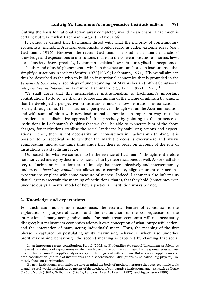Cutting the basis for rational action away completely would mean chaos. That much is certain; but was it what Lachmann argued in favour of?

It cannot be denied that Lachmann flirted with what the majority of contemporary economists, including Austrian economists, would regard as rather extreme ideas (e.g., Lachmann, 1976). However, the reason Lachmann is no nihilist is that he 'anchors' knowledge and expectations in institutions, that is, in the conventions, mores, norms, laws, etc. of society. More precisely, Lachmann explains how it is our stylised conceptions of each other and of social phenomena—which in time become anchored in institutions—that simplify our actions in society (Schütz, 1972[1932]; Lachmann, 1971). His overall aim can thus be described as the wish to build an institutional economics that is grounded in the Verstehende Sociozologie (sociology of understanding) of Max Weber and Alfred Schütz—an interpretative institutionalism, as it were (Lachmann, e.g., 1971, 1977B, 1991).<sup>1</sup>

We shall argue that this interpretative institutionalism is Lachmann's important contribution. To do so, we shall try to free Lachmann of the charge of nihilism by arguing that he developed a perspective on institutions and on how institutions assist action in society through time. This institutional perspective—though within the Austrian tradition and with some affinities with new institutional economics—in important ways must be considered as a distinctive approach.<sup>2</sup> It is precisely by pointing to the presence of institutions in Lachmann's thinking that we shall be able to exonerate him of the above charges, for institutions stabilise the social landscape by stabilising actions and expectations. Hence, there is not necessarily an inconsistency in Lachmann's thinking: it is possible to be sceptical as to whether the market process is everywhere and always equilibrating, and at the same time argue that there is order on account of the role of institutions as a stabilising factor.

Our search for what we consider to be the essence of Lachmann's thought is therefore not motivated merely by doctrinal concerns, but by theoretical ones as well. As we shall also see, to Lachmann institutions are ultimately that intersubjectively and intertemporally understood *knowledge capital* that allows us to coordinate, align or orient our actions, expectations or plans with some measure of success. Indeed, Lachmann also informs us that all agents ascertain the meaning of institutions, that is, that they hold (sometimes even unconsciously) a mental model of how a particular institution works (or not).

#### 2. Knowledge and expectations

For Lachmann, as for most economists, the essential feature of economics is the exploration of purposeful action and the examination of the consequences of the interaction of many acting individuals. The mainstream economist will not necessarily disagree; but mainstream economics adopts it own conception of what 'purposeful action' and the 'interaction of many acting individuals' mean. Thus, the meaning of the first phrase is captured by postulating utility maximising behaviour (which also underlies profit maximising behaviour); the second meaning is captured by claiming that social

<sup>&</sup>lt;sup>1</sup> In an important recent contribution, Koppl (2002, p. 8) identifies the central 'Lachmann problem' as 'the need for a theory of expectations in which each person's actions are animated by the spontaneous activity of a free human mind'. Koppl's analysis is very much congruent with our own. But whereas Koppl focuses on both coordination (the role of institutions) and discoordination (disruptions by so-called 'big players'), we mostly focus on coordination.<br><sup>2</sup> By new institutional economics we have in mind the body of modern literature that uses economic tools

to analyse real-world institutions by means of the method of comparative institutional analysis, such as Coase (1960), North (1981), Williamson (1985), Langlois (1986A, 1986B, 1992), and Eggertsson (1990).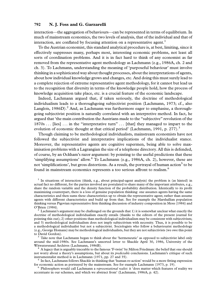interaction—the aggregation of behaviours—can be represented in terms of equilibrium. In much of mainstream economics, the two levels of analysis, that of the individual and that of interaction, are conflated by focusing attention on a representative agent.<sup>1</sup>

To the Austrian economist, this standard analytical procedure is, at best, limiting, since it effectively suppresses many, perhaps most, interesting economic problems, not least all sorts of coordination problems. And it is in fact hard to think of any economist as far removed from the representative agent methodology as Lachmann (e.g., 1986A, ch. 2 and ch. 3). To Lachmann, understanding the meaning of 'purposeful behaviour' must involve thinking in a sophisticated way about thought processes, about the interpretations of agents, about how individual knowledge grows and changes, etc. And doing this must surely lead to a complete rejection of extreme representative agent methodology, for it cannot but lead us to the recognition that diversity in terms of the knowledge people hold, how the process of knowledge acquisition take place, etc. is a crucial feature of the economic landscape.

Indeed, Lachmann argued that, if taken seriously, the doctrine of methodological individualism leads to a thoroughgoing subjectivist position (Lachmann, 1973; cf., also Langlois,  $1986D$ ).<sup>2</sup> And, as Lachmann was furthermore eager to emphasise, a thoroughgoing subjectivist position is naturally correlated with an interpretive method. In fact, he argued that 'the main contribution the Austrians made to the ''subjective'' revolution of the 1870s . . . [lies] . . . in the "interpretative turn" . . . [that] they managed to impart to the evolution of economic thought at that critical period' (Lachmann, 1991, p. 277).<sup>3</sup>

Though claiming to be methodological individualists, mainstream economists have not followed the subjectivist and interpretative implications of the individualist stance. Moreover, the representative agents are cognitive supermen, being able to solve maximisation problems with a Lagrangian the size of a telephone directory. All this is defended, of course, by an Ockham's razor argument: by pointing to the useful predictions that these 'simplifying assumptions' allow.<sup>4</sup> To Lachmann (e.g., 1986A, ch. 2), however, these are not 'simplifications', but gross distortions. As a result, the portrayal of human action<sup>5</sup> to be found in mainstream economics represents a too serious affront to realism.<sup>6</sup>

 $1$  In situations of interaction (think, e.g., about principal-agent analysis) the problem is (as hinted) in actual fact no different, for the parties involved are postulated to share many of the important attributes, e.g., share the random variable and the density function of the probability distribution. Identically to its profit maximizing counterpart, there is a loss of genuine population thinking: one assumes agents having the same characteristics and then sums these characteristics up to obtain the representative agent; rather than assume agents with different characteristics and build up from that. See for example the Marshallian population thinking versus Pigovian representative firm thinking discussion of industry composition in Moss (1984) and O'Brien (1984).<br><sup>2</sup> Lachmann's argument may be challenged on the grounds that 1) it is somewhat unclear what exactly the

doctrine of methodological individualism exactly entails (thanks to the editors of the present journal for pointing this out); 2) other positions than methodological individualism may be consistent with subjectivism; and 3) methodological individualism does not imply subjectivism with necessity. Thus, it is possible to be a methodological individualist but not a subjectivist. Sociologists who follow a behaviourist methodology (e.g., George Homans) may be methodological individualists, but they are not subjectivists (we owe this point

 $3$  Take note that Lachmann began to think about the 'hermeneutic' as opposed to subjectivist label only around the mid-1980s. See Lachmann's unsorted letter to Shackle April 30, 1986, University of the

<sup>4</sup> A legacy that is arguably traceable to the famous 'F-twist' by Milton Friedman: the belief that one should not worry about a theory's assumptions, but about its *predictable* conclusions. Lachmann's critique of such instrumentalist method is in Lachmann (1971, pp. 27 and 35).

<sup>5</sup> In fact, Lachmann follows Shackle in thinking that 'human re-action' would be a more fitting expression for economic action as portrayed by the mainstream. See for example Lachmann (1973, p. 19).

 $\delta$  Philosophers would call Lachmann a representational realist: it 'does matter which features of reality we accentuate in our schemes, and which we abstract from' (Lachmann, 1986A, p. 42).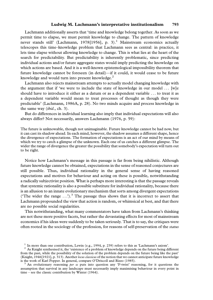Lachmann additionally asserts that 'time and knowledge belong together. As soon as we permit time to elapse, we must permit knowledge to change. The pattern of knowledge never stands still' (Lachmann, 1978[1956], p. 3).<sup>1</sup> Mainstream economics actually telescopes this time–knowledge problem that Lachmann sees as central: in practice, it lets time elapse without allowing knowledge to change. This is what lies at the heart of the search for predictability. But predictability is inherently problematic, since predicting individual actions and/or future aggregate states would imply predicting the knowledge on which actions are based. And it is a well-known epistemological impossibility theorem that future knowledge cannot be foreseen (in detail)—if it could, it would cease to be future knowledge and would turn into present knowledge.<sup>2</sup>

Lachmann also rejects mainstream attempts to actually model changing knowledge with the argument that if 'we were to include the state of knowledge in our model . . . [w]e should have to introduce it either as a datum or as a dependent variable . . . to treat it as a dependent variable would mean to treat processes of thought as though they were predictable' (Lachmann, 1986A, p. 28). No two minds acquire and process knowledge in the same way (ibid., ch. 3).

But do differences in individual learning also imply that individual expectations will also always differ? Not necessarily, answers Lachmann (1976, p. 59):

The future is unknowable, though not unimaginable. Future knowledge cannot be had now, but it can cast its shadow ahead. In each mind, however, the shadow assumes a different shape, hence the divergence of expectations. The formation of expectations is an act of our mind by means of which we try to catch a glimpse of the unknown. Each one of us catches a different glimpse. The wider the range of divergence the greater the possibility that somebody's expectation will turn out to be right.

Notice how Lachmann's message in this passage is far from being nihilistic. Although future knowledge cannot be obtained, expectations in the sense of reasoned conjectures are still possible. Thus, individual rationality in the general sense of having reasoned expectations and motives for behaviour and acting on these is possible, notwithstanding a radically subjectivist position. What is perhaps more interesting is that the passage reveals that systemic rationality is also a possible substitute for individual rationality, because there is an allusion to an innate evolutionary mechanism that sorts among divergent expectations ('The wider the range  $\ldots$ ').<sup>3</sup> The passage thus shows that it is incorrect to assert that Lachmann propounded the view that action is random, or whimsical at best, and that there are no possible social regularities.

This notwithstanding, what many commentators have taken from Lachmann's thinking are not these more positive facets, but rather the devastating effects for most of mainstream economics if his ideas were suddenly to be taken seriously. That is to say, the critiques were often rooted in the sociology of the profession, for reasons of self-preservation of the status

<sup>&</sup>lt;sup>1</sup> In more than one contribution, Lewin (e.g., 1994, p. 239) refers to this as 'Lachmann's axiom'. <sup>2</sup> As Knight synthesised it, the 'existence of a problem of knowledge depends on the future being different from the past, while the possibility of the solution of the problem depends on the future being like the past' (Knight, 1946[1921], p. 313). Another locus classicus of the notion that we cannot anticipate future knowledge is the work of Karl Popper. In general, compare O'Driscoll and Rizzo (1985).<br><sup>3</sup> An evolutionary reasoning *per se* puts into question any 'F-twist' reasoning, for it questions the

assumption that survival in any landscape must necessarily imply maximising behaviour in every point in time – see the classic contribution by Winter (1964).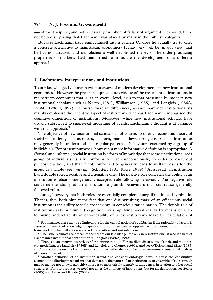*quo* of the discipline, and not necessarily for inherent fallacy of argument.<sup>1</sup> It should, then, not be too surprising that Lachmann was placed by many in the 'nihilist' category.

But does Lachmann truly paint himself into a corner? Or does he actually try to offer a concrete alternative to mainstream economics? It may very well be, in our view, that he has not attacked and demolished a well-established theory of the order-producing properties of markets: Lachmann tried to stimulate the development of a different approach.

#### 3. Lachmann, interpretation, and institutions

To our knowledge, Lachmann was not aware of modern developments in new institutional economics.<sup>2</sup> However, he presents a quite acute critique of the treatment of institutions in mainstream economics that is, at an overall level, akin to that presented by modern new institutional scholars such as North (1981), Williamson (1985), and Langlois (1986A, 1986C, 1986D, 1992). Of course, there are differences, because many new institutionalists mainly emphasise the incentive aspect of institutions, whereas Lachmann emphasised the cognitive dimension of institutions. Moreover, while new institutional scholars have usually subscribed to single-exit modelling of agents, Lachmann's thought is at variance with this approach. $3$ 

The objective of new institutional scholars is, of course, to offer an economic theory of social institutions, such as mores, customs, markets, laws, firms, etc. A social institution may generally be understood as a regular pattern of behaviours exercised by a group of individuals. For present purposes, however, a more informative definition is appropriate. A (formal and informal) social institution is a form of knowledge that some (institutionalised) group of individuals usually conforms to (even unconsciously) in order to carry out purposive action, and that if not conformed to generally leads to welfare losses for the group as a whole (see, *inter alia*, Schotter, 1981; Rowe, 1989).<sup>4</sup> As a result, an institution has a double role, a positive and a negative one. The positive role concerns the ability of an institution to elicit some generally-accepted rule-following behaviour. The negative role concerns the ability of an institution to punish behaviours that contradict generally followed rules.

Notice, however, that both roles are essentially complementary, if not indeed symbiotic. That is, they both hint at the fact that one distinguishing mark of an efficacious social institution is the ability to yield cost savings in conscious ratiocination. The double role of institutions aids our limited cognition: by simplifying social reality by means of rulefollowing and reliability in enforceability of rules, institutions make the calculation of

 $<sup>1</sup>$  For instance, there may be a limited role for the central notion of equilibrium if the rationality of actors is</sup> assessed in terms of knowledge adaptations to contingencies as opposed to the axiomatic optimisation framework in which all action is considered costless and instantaneous.<br><sup>2</sup> The issue is almost reciprocal: to the best of our knowledge, the only new institutionalist who is aware of

Lachmann's institutional contribution is Langlois (1986A, 1992).<br><sup>3</sup> Thanks to an anonymous reviewer for pointing this out. For excellent discussions of single and multiple-

exit modelling, see Langlois (1986B) and Langlois and Csontos (1991). And see O'Driscoll and Rizzo (1985, ch. 3) for a discussion in a Lachmannian spirit of whether there can be non-deterministic situational analysis

 $4$  Another definition of an institution would also consider ontology: it would stress the constitutive elements and filtering mechanisms that demarcate the nature of an institution as an ensemble of rules (which may or may be not known explicitly) in order to more crisply identify its uniqueness in relation to other social structures. For our purposes we need not enter the ontology of institutions, but for an elaboration, see Searle (2005) and Lewis and Runde (2007).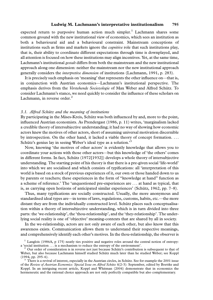expected return to purposive human action much simpler.<sup>1</sup> Lachmann shares some common ground with the new institutional view of economics, which sees an institution as both a behavioural aid and a behavioural constraint. Mainstream conceptions of institutions such as firms and markets ignore the *cognitive* role that such institutions play, that is, their ability to coordinate different expectations through time is downplayed, and all attention is focused on how these institutions may align incentives. Yet, at the same time, Lachmann's institutional gestalt differs from both the mainstream and the new institutional approach along one dimension: neither the mainstream nor the new institutional approach generally considers the interpretive dimension of institutions (Lachmann, 1991, p. 283).

It is precisely such emphasis on 'meaning' that represents the other influence on—that is, in conjunction with Austrian economics—Lachmann's institutional perspective. The emphasis derives from the Verstehende Sociozologie of Max Weber and Alfred Schütz. To consider Lachmann's stance, we need quickly to consider the influence of these scholars on Lachmann, in reverse order. $<sup>2</sup>$ </sup>

#### 3.1. Alfred Schütz and the meaning of institutions

By participating in the Mises-Kreis, Schütz was both influenced by and, more to the point, influenced Austrian economists. As Prendergast (1986, p. 11) writes, 'marginalism lacked a credible theory of intersubjective understanding; it had no way of showing how economic actors knew the motives of other actors, short of assuming universal motivation discernible by introspection. On the other hand, it lacked a viable theory of concept formation. . . . Schütz's genius lay in seeing Weber's ideal type as a solution.<sup>3</sup>

Now, knowing 'the motives of other actors' is evidently knowledge that allows you to coordinate your actions with those other actors—but this knowledge of 'the others' comes in different forms. In fact, Schütz  $(1972[1932])$  develops a whole theory of intersubjective understanding. The starting point of his theory is that there is a pre-given social 'life-world' into which we are socialised and which consists of typifications: all 'interpretation of this world is based on a stock of previous experiences of it, our own or those handed down to us by parents or teachers; these experiences in the form of ''knowledge at hand'' function as a scheme of reference.' The 'unquestioned pre-experiences are . . . at hand as typical, that is, as carrying open horizons of anticipated similar experiences' (Schütz, 1962, pp.  $7-8$ ).

Thus, many typifications are socially constructed. Usually, the more anonymous and standardised ideal types are—in terms of laws, regulations, customs, habits, etc.—the more distant they are from the individually constructed level. Schütz places such conceptualisation within a theory of intersubjective understanding, which is in turn divided into three parts: the 'we-relationship', the 'thou-relationship', and the 'they-relationship'. The underlying social reality is one of 'objective' meaning-contexts that are shared by all in society.

In the we-relationship, actors are not only aware of each other, but also know that this awareness exists. Communication allows them to understand their respective meanings, and comprehensively identify each other's motives. In the thou-relationship, the observer is

<sup>&</sup>lt;sup>1</sup> Langlois (1986A, p 175) neatly ties positive and negative roles around the central notion of entropy: a 'social institution . . . is a mechanism to reduce the entropy of the environment'.<br><sup>2</sup> Our order of consideration is in reverse not just because Schütz's contribution is subsequent to that of

Weber, but also because Lachmann himself studied Schütz much later than he studied Weber; see Koppl (1994, pp. 295–6).

 $3$  There is a revival of interest, especially in the Austrian circles, in Schütz. See for example the 2001 issue of the Review of Austrian Economics: Special Issue on Alfred Schütz 4(2-3): September, edited by Boettke and Koppl. In an intriguing recent article, Koppl and Whitman (2004) demonstrate that in economics the hermeneutic and the rational choice approach are not only perfectly compatible but also complementary.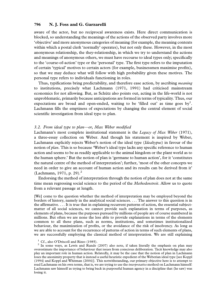aware of the actor, but no reciprocal awareness exists. Here direct communication is blocked, so understanding the meanings of the actions of the observed party involves more 'objective' and more anonymous categories of meaning (for example, the meaning contexts within which a postal clerk 'normally' operates), but not only these. However, in the most anonymous relationship, the they-relationship, in which we try to understand the actions and meanings of anonymous others, we must have recourse to ideal types only; specifically to the 'course-of-action' type or the 'personal' type. The first type refers to the imputation of certain 'typical' motives to certain actors (for example, businessmen maximise profits), so that we may deduce what will follow with high probability given these motives. The personal type refers to individuals functioning in roles.

Thus, typifications bring predictability, and therefore ease action, by ascribing *meaning* to institutions, precisely what Lachmann (1971, 1991) had criticised mainstream economics for not allowing. But, as Schütz also points out, acting in the life-world is not unproblematic, primarily because anticipations are formed in terms of typicality. Thus, our expectations are broad and open-ended, waiting to be 'filled out' as time goes by<sup>1</sup>. Lachmann fills the emptiness of expectations by changing the central element of social scientific investigation from ideal type to plan.

#### 3.2. From ideal type to plan—or, Max Weber modified

Lachmann's most complete institutional statement is the *Legacy of Max Weber* (1971), a three-essay collection on Weber. And though his statement is inspired by Weber, Lachmann explicitly rejects Weber's notion of the ideal type (*Idealtypus*) in favour of the notion of *plan*. This is so because 'Weber's ideal type lacks any specific reference to human action and seems to be as readily applicable to the animal kingdom or the plant world as to the human sphere.' But the notion of plan is 'germane to human action', for it 'constitutes the natural centre of the method of interpretation'; further, 'most of the other concepts we need in order to give an account of human action and its results can be derived from it' (Lachmann, 1971, p. 29).<sup>2</sup>

Endorsing the method of interpretation through the notion of plan does not at the same time mean regressing social science to the period of the *Methodenstreit*. Allow us to quote from a relevant passage at length.

[We] come to the question whether the method of interpretation may be employed beyond the borders of history, namely in the analytical social sciences. . . . The answer to this question is in the affirmative. . . . It is true that in explaining recurrent patterns of action, the essential subjectmatter of all social sciences, we cannot provide such explanation in terms of purposes, as elements of plans, because the purposes pursued by millions of people are of course numbered in millions. But often we are none the less able to provide explanations in terms of the elements common to all these plans, such as norms, institutions, and sometimes institutionalized behaviour, the maximization of profits, or the avoidance of the risk of insolvency. As long as we are able to account for the recurrence of patterns of action in terms of such elements of plans, we are successfully employing the classical method of interpretation. We are still explaining

<sup>1</sup> Cf., also O'Driscoll and Rizzo (1985). <sup>2</sup> In some ways, as Lewis and Runde (2007) also note, if taken literally the emphasis on plan may overestimate the importance of behaviour that issues from conscious deliberation. Tacit knowledge may also play an important role in human action. Relatedly, it may be the case that the notion of plan in Lachmann loses the anonimity property that is instead a useful heuristic expedient of the Weberian ideal type [see Koppl (1994) and Koppl and Whitman (2004)]. This notwithstanding, our primary objective here is to attempt to read Lachmann on his own terms, that is, we are trying to use the *interpretative* method on Lachmann himself: Lachmann saw himself as trying to bring back in purposeful human agency in a discipline that (he saw) was losing it.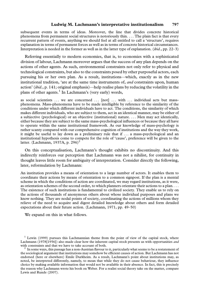subsequent events in terms of ideas. Moreover, the line that divides concrete historical phenomena from permanent social structures is notoriously thin. . . . The plain fact is that every recurrent pattern of events, anything we should feel at all entitled to call a 'structure', requires explanation in terms of permanent forces as well as in terms of concrete historical circumstances. Interpretation is needed in the former as well as in the latter type of explanation. (ibid., pp. 22–3)

Referring essentially to modern economies, that is, to economies with a sophisticated division of labour, Lachmann moreover argues that the success of any plan depends on the actions of other agents. As such, environmental constraints not only refer to physical and technological constraints, but also to the constraints posed by other purposeful actors, each pursuing his or her own plan. As a result, institutions—which, exactly as in the new institutional tradition, 'are at the same time instruments of, *and* constraints upon, human action' (ibid., p. 141; original emphasis)—help realise plans by reducing the volatility in the plans of other agents.<sup>1</sup> In Lachmann's (very early) words,

as social scientists ... we are concerned ... [not] ... with ... individual acts but massphenomena. Mass-phenomena have to be made intelligible by reference to the similarity of the conditions under which different individuals have to act. The conditions, the similarity of which makes different individuals, who are subject to them, act in an identical manner, may be either of a subjective (psychological) or an objective (institutional) nature. . . . Men may act identically, either because they are subject to the same mass-psychological influences or because they all have to operate within the same institutional framework. As our knowledge of mass-psychology is rather scanty compared with our comprehensive cognition of institutions and the way they work, it might be useful to lay down as a preliminary rule that if . . . a mass-psychological and an institutional hypothesis come to compete for the role of 'cause', preference will be given to the latter. (Lachmann, 1937A, p. 296)<sup>2</sup>

On this conceptualisation, Lachmann's thought exhibits no discontinuity. And this indirectly reinforces our perception that Lachmann was not a nihilist, for continuity in thought leaves little room for ambiguity of interpretation. Consider directly the following, later, reformulation by Lachmann:

An institution provides a means of orientation to a large number of actors. It enables them to coordinate their actions by means of orientation to a common signpost. If the plan is a mental scheme in which the conditions of action are coordinated, we may regard institutions, as it were, as orientation schemes of the second order, to which planners orientate their actions to a plan. ... The existence of such institutions is fundamental to civilized society. They enable us to rely on the actions of thousands of anonymous others about whose individual purposes and plans we know nothing. They are nodal points of society, coordinating the actions of millions whom they relieve of the need to acquire and digest detailed knowledge about others and form detailed expectations about their future action. (Lachmann, 1971, pp. 49–50)

We expand on this in what follows.

 $1$  Lewin (1999) pursues this Lachmannian theme from the point of view of the capital stock, where Lachmann (1978[1956]) also made clear how the inherent capital stock presents us with opportunities and with constraints and that we have to take account of both.

 $2\,$  In some ways, this passage has a non-Austrian flavour to it, particularly what seems to be a restatement of the sociological argument that institutions may somehow be efficient causes of action. But Lachmann has not endorsed (here or elsewhere) Emile Durkheim. As a result, Lachmann's point about institutions may, as noted, be interpreted differently, namely, to mean that while they do not cause behaviour, they influence choice by making available information that would not be available in their absence. In fact, this is precisely the reason why Lachmann wrote his book on Weber. For a realist social theory take on the matter, compare Lewis and Runde (2007).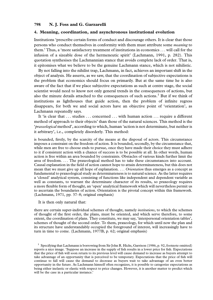#### 4. Meaning, coordination, and asynchronous institutional evolution

Institutions 'prescribe certain forms of conduct and discourage others. It is clear that those persons who conduct themselves in conformity with them must attribute some meaning to them.' Thus, a 'more satisfactory treatment of institutions in economics . . . will call for the infusion of a sizeable dose of the hermeneutic spirit' (Lachmann, 1991, p. 282). This quotation synthesises the Lachmannian stance that avoids complete lack of order. That is, it epitomises what we believe to be the genuine Lachmann stance, which is not nihilistic.

By not falling into the nihilist trap, Lachmann, in fact, achieves an important shift in the object of analysis. He asserts, as we saw, that the coordination of subjective expectations is the problem that economics should focus on primarily. But at the same time he is also aware of the fact that if we place subjective expectations as such at centre stage, the social scientist would need to know not only general trends in the consequences of actions, but also the minute details attached to the consequences of such actions.<sup>1</sup> But if we think of institutions as lighthouses that guide action, then the problem of infinite regress disappears, for both we and social actors have an objective point of 'orientation', as Lachmann repeatedly says.

It 'is clear that ... studies ... concerned ... with human action ... require a different method of approach to their objects' than those of the natural sciences. This method is the 'praxeological method', according to which, human 'action is not determinate, but neither is it arbitrary', i.e., completely disorderly. This method:

is bounded, firstly, by the scarcity of the means at the disposal of actors. This circumstance imposes a constraint on the freedom of action. It is bounded, secondly, by the circumstance that, while men are free to choose ends to pursue, once they have made their choice they must adhere to it if consistent action with a chance of success is to be possible at all. In other words, human action is free within an area bounded by constraints. Obstacles of various kinds further limit the area of freedom. . . . The praxeological method has to take these circumstances into account. Causal explanation in the field of action cannot hope to attain determinateness, but this does not mean that we must give up all hope of explanation. . . . Orientation thus emerges as a concept as fundamental to praxeological study as determinateness is to natural science. As the latter requires a 'closed' analytical system, consisting of functions like independent and dependent variable as well as constants, to warrant the determinate character of its results, so praxeology requires a more flexible form of thought, an 'open' analytical framework which will nevertheless permit us to ascertain the boundaries of action. Orientation is the pivotal concept within this framework. (Lachmann, 1971, pp. 37–8; original emphasis)

It is then only natural that:

there are certain super-individual schemes of thought, namely *institutions*, to which the schemes of thought of the first order, the plans, must be oriented, and which serve therefore, to some extent, the coordination of plans. They constitute, we may say, 'interpersonal orientation tables', schemes of thought of the second order. To them, praxeology, for which until now the plan and its structure have understandably occupied the foreground of interest, will increasingly have to turn in time to come. (Lachmann, 1977B, p. 62; original emphasis)

<sup>&</sup>lt;sup>1</sup> Specifying that Lachmann is borrowing from Sir John R. Hicks, Garrison (1986, p. 92, footnote omitted) reports a nice image. 'Suppose an increase in the supply of fish results in a lower price for fish. Expectations that the price of fish will soon return to its previous level will cause demand to increase as buyers attempt to take advantage of an opportunity that is perceived to be temporary. Expectations that the price of fish will continue to fall will cause the demand to decrease as buyers wait to take advantage of an even better opportunity in the future. As Lachmann himself often recognizes, it is possible to categorize expectations as being either inelastic or elastic with respect to price changes. However, it is another matter to predict which will be the case in a particular instance.'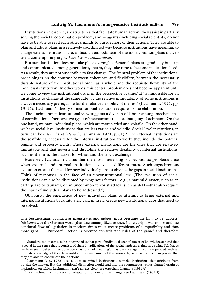Institutions, in essence, are structures that facilitate human action: they assist in partially solving the societal coordination problem, and so agents (including social scientists) do not have to be able to read each other's minds to pursue most of their actions. They are able to plan and adjust plans in a relatively coordinated way because institutions have meaning: to a large extent, institutions are, in fact, an embodiment of the most common plans that, to use a contemporary argot, have become standardised.<sup>1</sup>

But standardisation does not take place overnight. Personal plans are gradually built up and communicated among generations, that is, they take time to become institutionalised. As a result, they are not susceptible to fast change. The 'central problem of the institutional order hinges on the contrast between coherence and flexibility, between the necessarily durable nature of the institutional order as a whole and the requisite flexibility of the individual institution. In other words, this central problem does not become apparent until we come to view the institutional order in the perspective of time.' It 'is impossible for all institutions to change at the same rate . . . the relative immutability of some institutions is always a necessary prerequisite for the relative flexibility of the rest' (Lachmann, 1971, pp. 13–14). Lachmann's theory of institutional evolution requires some elaboration.

The Lachmannian institutional view suggests a division of labour among 'mechanisms' of coordination. There are two types of mechanisms to coordinate, says Lachmann. On the one hand, we have individual plans, which are more varied and volatile. On the other hand, we have social-level institutions that are less varied and volatile. Social-level institutions, in turn, can be *external* and *internal* (Lachmann, 1971, p. 81).<sup>2</sup> The external institutions are the scaffolding necessary for the internal institutions to work: they include the political regime and property rights. These external institutions are the ones that are relatively immutable and that govern and discipline the relative flexibility of internal institutions, such as the firm, the market for wheat and the stock exchange.

Moreover, Lachmann claims that the most interesting socioeconomic problems arise when external and internal institutions evolve at different rates. Such asynchronous evolution creates the need for new individual plans to obviate the gaps in social institutions. Think of responses in the face of an unconstitutional law. (The evolution of social institutions can also be disrupted by exogenous factors—e.g., a natural disaster, such as an earthquake or tsunami, or an uncommon terrorist attack, such as 9/11—that also require the input of individual plans to be addressed.<sup>3</sup>)

Obviously, the emergence of new individual plans to attempt to bring external and internal institutions back into sync can, in itself, create new institutional gaps that need to be solved.

The businessman, as much as magistrates and judges, must presume the Law to be 'gapless' (lückenlos was the German word [that Lachmann] liked to use), but clearly it was not so and the continual flow of legislation in modern times must create problems of compatibility and thus more gaps. . . . Purposeful action is oriented towards 'the rules of the game' and therefore

outside the market. But this additional distinction would lead into the spontaneous versus planned origin of institutions on which Lachmann wasn't always clear, see especially Langlois (1986A). <sup>3</sup> For Lachmann's discussion of adaptation to non-routine change, see Lachmann (1937B).

<sup>&</sup>lt;sup>1</sup> Standardisation can also be interpreted as that part of individual agents' stocks of knowledge at hand that is social in the sense that it consists of shared typifications of the social landscape, that is, as what Schütz, as we have seen, called 'intersubjective structures of meaning'. It is because agents come equipped with an intimate knowledge of their life-world and because much of this knowledge is social rather than private that they are able to coordinate their actions.<br><sup>2</sup> Lachmann (e.g., 1962) also alludes to 'mixed institutions', namely, institutions that originate from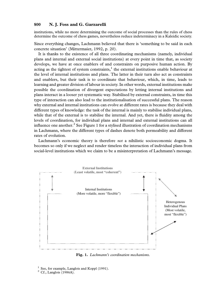institutions, while no more determining the outcome of social processes than the rules of chess determine the outcome of chess games, nevertheless reduce indeterminacy in a Kaleidic society.

Since everything changes, Lachmann believed that there is 'something to be said in each concrete situation' (Mittermaier, 1992, p. 20).

It is thanks to the existence of all three coordinating mechanisms (namely, individual plans and internal and external social institutions) at every point in time that, as society develops, we have at once enablers of and constraints on purposive human action. By acting as the tightest of system constraints, $\frac{1}{1}$  the external institutions enable behaviour at the level of internal institutions and plans. The latter in their turn also act as constraints and enablers, but their task is to coordinate that behaviour, which, in time, leads to learning and greater division of labour in society. In other words, external institutions make possible the coordination of divergent expectations by letting internal institutions and plans interact in a looser yet systematic way. Stabilised by external constraints, in time this type of interaction can also lead to the institutionalisation of successful plans. The reason why external and internal institutions can evolve at different rates is because they deal with different types of knowledge: the task of the internal is mainly to stabilise individual plans, while that of the external is to stabilise the internal. And yet, there is fluidity among the levels of coordination, for individual plans and internal and external institutions can all influence one another.<sup>2</sup> See Figure 1 for a stylised illustration of coordination mechanisms in Lachmann, where the different types of dashes denote both permeability and different rates of evolution.

Lachmann's economic theory is therefore *not* a nihilistic socioeconomic dogma. It becomes so only if we neglect and render timeless the interaction of individual plans from social-level institutions which we claim to be a misinterpretation of Lachmann's message.



Fig. 1. Lachmann's coordination mechanisms.

<sup>&</sup>lt;sup>1</sup> See, for example, Langlois and Koppl (1991).<br><sup>2</sup> Cf., Langlois (1986A).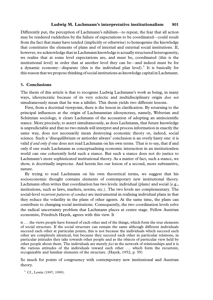Differently put, the perception of Lachmann's nihilism—to repeat, the fear that all action may be rendered rudderless by the failure of expectations to be coordinated—could result from the fact that many have tended (implicitly or otherwise) to homogenise the knowledge that constitutes the elements of plans and of internal and external social institutions. If, however, we acknowledge that in Lachmann knowledge is actually structured heterogeneity, we realise that at some level expectations are, and must be, coordinated (this is the institutional level) in order that at another level they can be—and indeed must be for a dynamic economy—disparate (this is the individual plan level).<sup>1</sup> It is basically for this reason that we propose thinking of social institutions as knowledge capital in Lachmann.

#### 5. Conclusions

The thesis of this article is that to recognise Ludwig Lachmann's work as being, in many ways, idiosyncratic because of its very eclectic and multidisciplinary origin does not simultaneously mean that he was a nihilist. This thesis yields two different lessons.

First, from a doctrinal viewpoint, there is the lesson in clarification. By returning to the principal influences at the origin of Lachmannian idiosyncrasy, namely, Weberian and Schützian sociology, it clears Lachmann of the accusation of adopting an antiscientific stance. More precisely, to assert simultaneously, as does Lachmann, that future knowledge is unpredictable and that no two minds will interpret and process information in exactly the same way, does not necessarily mean destroying economic theory or, indeed, social science. Such a 'disequilibrium or antiorder always' conclusion is an overly hasty one: it is valid *if and only if* one does not read Lachmann on his own terms. That is to say, that if and only if one reads Lachmann as conceptualising economic interaction in an institutionless world can one coherently hold such a stance. But such a stance does not do justice to Lachmann's more sophisticated institutional theory. As a matter of fact, such a stance, we show, is doctrinally imprecise. And herein lies our lesson of a second, more substantive, nature.

By trying to read Lachmann on his own theoretical terms, we suggest that his socioeconomic thought contains elements of contemporary new institutional theory. Lachmann often writes that coordination has two levels: individual (plans) and social (e.g., institutions, such as laws, markets, norms, etc.). The two levels are complementary. The social-level *recurrent patterns of conduct* are instrumental in realising individual plans in that they reduce the volatility in the plans of other agents. At the same time, the plans can contribute to changing social institutions. Consequently, the two coordination levels solve the radical uncertainty problem that Lachmann places at centre stage. Fellow Austrian economist, Friedrich Hayek, agrees with this view. It

is . . . the views people have formed of each other and of the things, which form the true elements of social structure. If the social structure can remain the same although different individuals succeed each other at particular points, this is not because the individuals which succeed each other are completely identical, but because they succeed each other in particular relations, in particular attitudes they take towards other people and as the objects of particular view held by other people about them. The individuals are merely foci in the network of relationships and it is the various attitudes of the individuals toward each other . . . which form the recurrent, recognizable and familiar elements of the structure. (Hayek, 1952, p. 59)

So much for points of congruency with contemporary new institutional and Austrian theory.

 $1 \text{ Cf.}$ , Lewin (1997, 1999).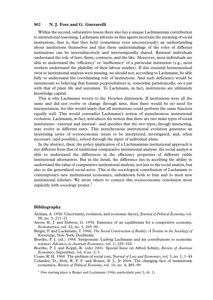Within the second, substantive lesson there also lies a unique Lachmannian contribution to institutional reasoning. Lachmann informs us that agents ascertain the meaning of social institutions, that is, that they hold (sometimes even unconsciously) an understanding about institutions themselves and that these understandings of the roles of different institutions can be intersubjectively and intertemporally shared. Rational individuals understand the role of laws, firms, contracts, and the like. Moreover, most individuals are able to understand the 'efficiency' or 'inefficiency' of a particular institution (e.g., most workers understand the pliability of their labour market). If this essential hermeneutical twist to institutional analysis were missing, we should not, according to Lachmann, be able fully to understand the coordinating role of institutions. And such deficiency would be tantamount to believing that human purposefulness is, somewhat paradoxically, on a par with that of plant life and automata. To Lachmann, in fact, institutions are ultimately knowledge capital.

This is why Lachmann reverts to the *Verstehen* dimension. If institutions were all the same and did not evolve or change through time, then there would be no need for interpretation, for this would imply that all institutions could perform the same function equally well. This would contradict Lachmann's notion of asynchronous institutional evolution. Lachmann, in fact, introduces the notion that there are two main types of social institutions—external and internal—and specifies that the two types, though interacting, may evolve at different rates. This asynchronous institutional evolution generates an interesting series of socioeconomic issues to be interpreted, investigated, and, when necessary (and possible), solved through the input of individual plans.

In the abstract, then, the policy implication of a Lachmannian institutional approach is not different from that of traditional comparative institutional analysis: the social analyst is able to understand the differences in the efficiency properties of different viable institutional alternatives. But in the detail, the difference lies in ascribing the ability to understand the value of comparative institutional analysis, not just to the social analyst, but also to the generalised social actor. This is the sociological contribution of Lachmann to contemporary new institutional economics, unbeknown both to him and to most new institutional scholars. We invite others to connect this socioeconomic conclusion more explicitly with sociology proper. $<sup>1</sup>$ </sup>

#### Bibliography

- Alchian, A. 1950. Uncertainty, evolution, and economic theory, *Journal of Political Economy*, vol. 58, no. 3, 211–21
- Arrow, K. J. and Debreu, G. 1954. Existence of an equilibrium for a competitive economy, Econometrica, vol. 22, no. 3, 265–90
- Berger, P. and Luckmann, T. 1966. The Social Construction of Reality: A Treatise in the Sociology of Knowledge, New York, Doubleday

Boettke, P. J. (ed.) 1994. Symposium: Ludwig Lachmann and his contributions to economic science, Advances in Austrian Economics, vol. 1, 229–324

Boettke, P. J. and Koppl, R. (eds) 2001. Special Issue on Alfred Schütz, Review of Austrian Economics, September, vol. 4 no. 2–3.

Coase, R. H. 1960. The problem of social cost, *Journal of Law and Economics*, vol. 3, no. 1, 1-44

Colander, D., Holt, R. P. F. and Rosser, B. J., Jr 2004. The changing face of mainstream economics, Review of Political Economy, vol. 16, no. 4, 485–99

<sup>&</sup>lt;sup>1</sup> One starting place is Berger and Luckmann (1966, particularly part 2, ch. 1).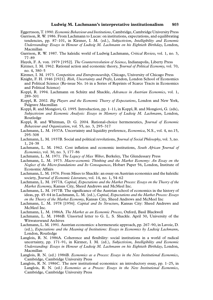- Eggertsson, T. 1990. *Economic Behaviour and Institutions*, Cambridge, Cambridge University Press
- Garrison, R. W. 1986. From Lachmann to Lucas: on institutions, expectations, and equilibrating tendencies, pp. 87–101, in Kirzner, I. M. (ed.), Subjectivism, Intelligibility and Economic Understanding: Essays in Honour of Ludwig M. Lachmann on his Eightieth Birthday, London, Macmillan
- Garrison, R. W. 1987. The kaleidic world of Ludwig Lachmann, Critical Review, vol. 1, no. 3, 77–89
- Hayek, F. A. von. 1979 [1952]. The Counterrevolution of Science, Indianapolis, Liberty Press
- Kirzner, I. M. 1962. Rational action and economic theory, *Journal of Political Economy*, vol. 70, no. 4, 380–5
- Kirzner, I. M. 1973. Competition and Entrepreneurship, Chicago, University of Chicago Press
- Knight, F. H. 1946 [1921]. Risk, Uncertainty and Profit, London, London School of Economics and Political Science (Re-issue No. 16 in a Series of Reprints of Scarce Tracts in Economics and Political Science)
- Koppl, R. 1994. Lachmann on Schütz and Shackle, Advances in Austrian Economics, vol. 1, 289–301
- Koppl, R. 2002. Big Players and the Economic Theory of Expectations, London and New York, Palgrave Macmillan
- Koppl, R. and Mongiovi, G. 1995. Introduction, pp. 1–11, in Koppl, R. and Mongiovi, G. (eds), Subjectivism and Economic Analysis: Essays in Memory of Ludwig M. Lachmann, London, Routledge
- Koppl, R. and Whitman, D. G. 2004. Rational-choice hermeneutics, *Journal of Economic* Behaviour and Organization, vol. 55, no. 3, 295–317
- Lachmann, L. M. 1937A. Uncertainty and liquidity preference, Economica, N.S., vol. 4, no.15, 295–308
- Lachmann, L. M. 1937B. Social and political revolutions, *Journal of Social Philosophy*, vol. 3, no. 1, 24–38
- Lachmann, L. M. 1962. Cost inflation and economic institutions, South African Journal of Economics, vol. 30, no. 3, 177–86
- Lachmann, L. M. 1971. The Legacy of Max Weber, Berkeley, The Glendessary Press
- Lachmann, L. M. 1973. Macro-economic Thinking and the Market Economy: An Essay on the Neglect of the Micro-foundations and Its Consequences, Hobart Paper 56, London, Institute of Economic Affairs
- Lachmann, L. M. 1976. From Mises to Shackle: an essay on Austrian economics and the kaleidic society, Journal of Economic Literature, vol. 14, no. 1, 54-62
- Lachmann, L. M. 1977A. Capital, Expectations and the Market Process: Essays on the Theory of the Market Economy, Kansas City, Sheed Andrews and McMeel Inc.
- Lachmann, L. M. 1977B. The significance of the Austrian school of economics in the history of ideas, pp. 45–64 in Lachmann, L. M. (ed.), Capital, Expectations and the Market Process: Essays on the Theory of the Market Economy, Kansas City, Sheed Andrews and McMeel Inc
- Lachmann, L. M. 1978 [1956]. Capital and Its Structure, Kansas City: Sheed Andrews and McMeel Inc.
- Lachmann, L. M. 1986A. The Market as an Economic Process, Oxford, Basil Blackwell
- Lachmann, L. M. 1986B. Unsorted letter to G. L. S. Shackle. April 30, University of the Witwatersrand Archives
- Lachmann, L. M. 1991. Austrian economics: a hermeneutic approach, pp. 267–90, in Lavoie, D. (ed.), Expectations and the Meaning of Institutions: Essays in Economics by Ludwig Lachmann, London, Routledge
- Langlois, R. N. 1986A. Coherence and flexibility: social institutions in a world of radical uncertainty, pp. 171–91, in Kirzner, I. M. (ed.), Subjectivism, Intelligibility and Economic Understanding: Essays in Honour of Ludwig M. Lachmann on his Eightieth Birthday, London, Macmillan
- Langlois, R. N. (ed.) 1986B. Economics as a Process: Essays in the New Institutional Economics, Cambridge, Cambridge University Press
- Langlois, R. N. 1986C. The new institutional economics: an introductory essay, pp. 1–25, in Langlois, R. N. (ed.) *Economics as a Process: Essays in the New Institutional Economics*, Cambridge, Cambridge University Press